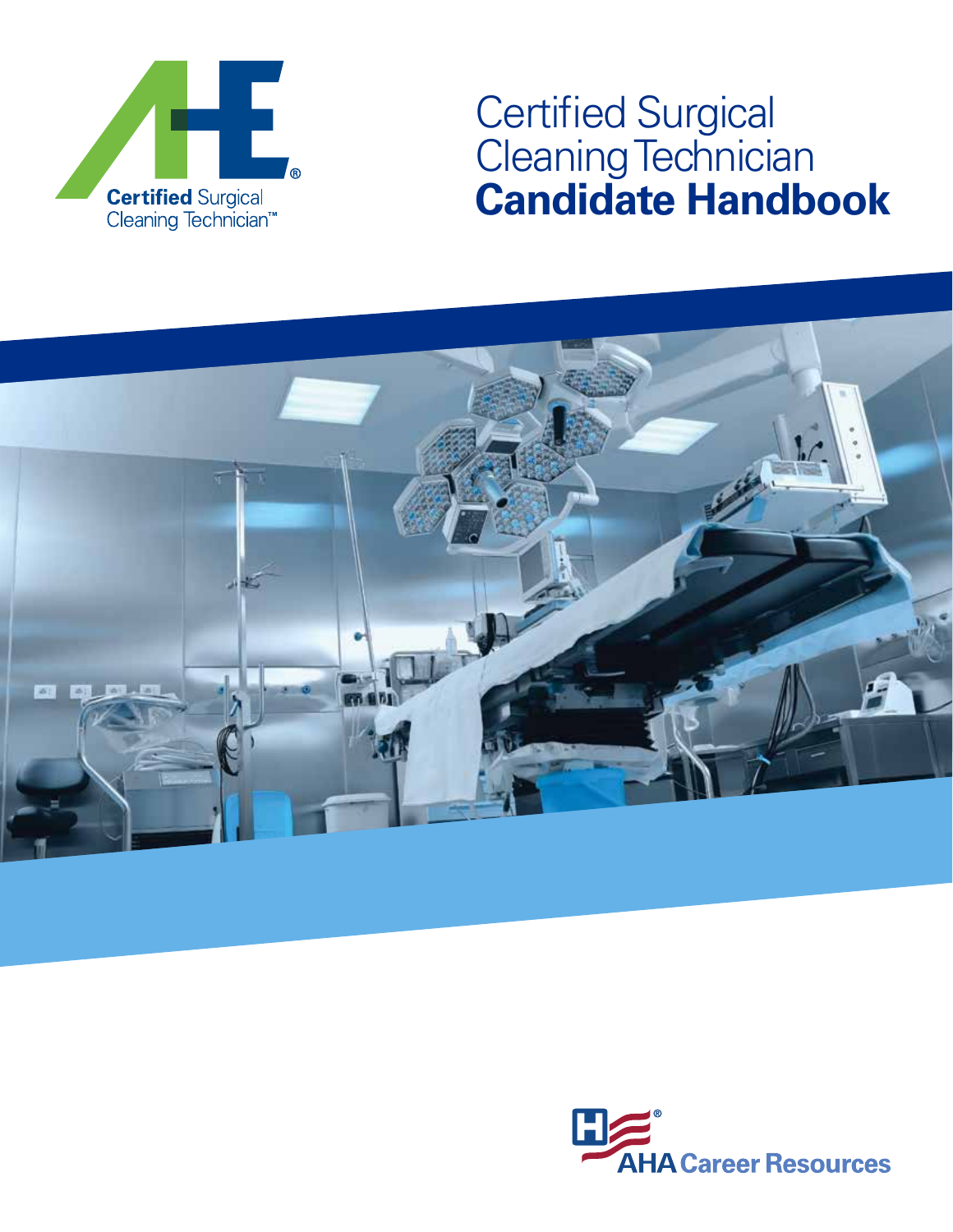

# Certified Surgical Cleaning Technician **Candidate Handbook**



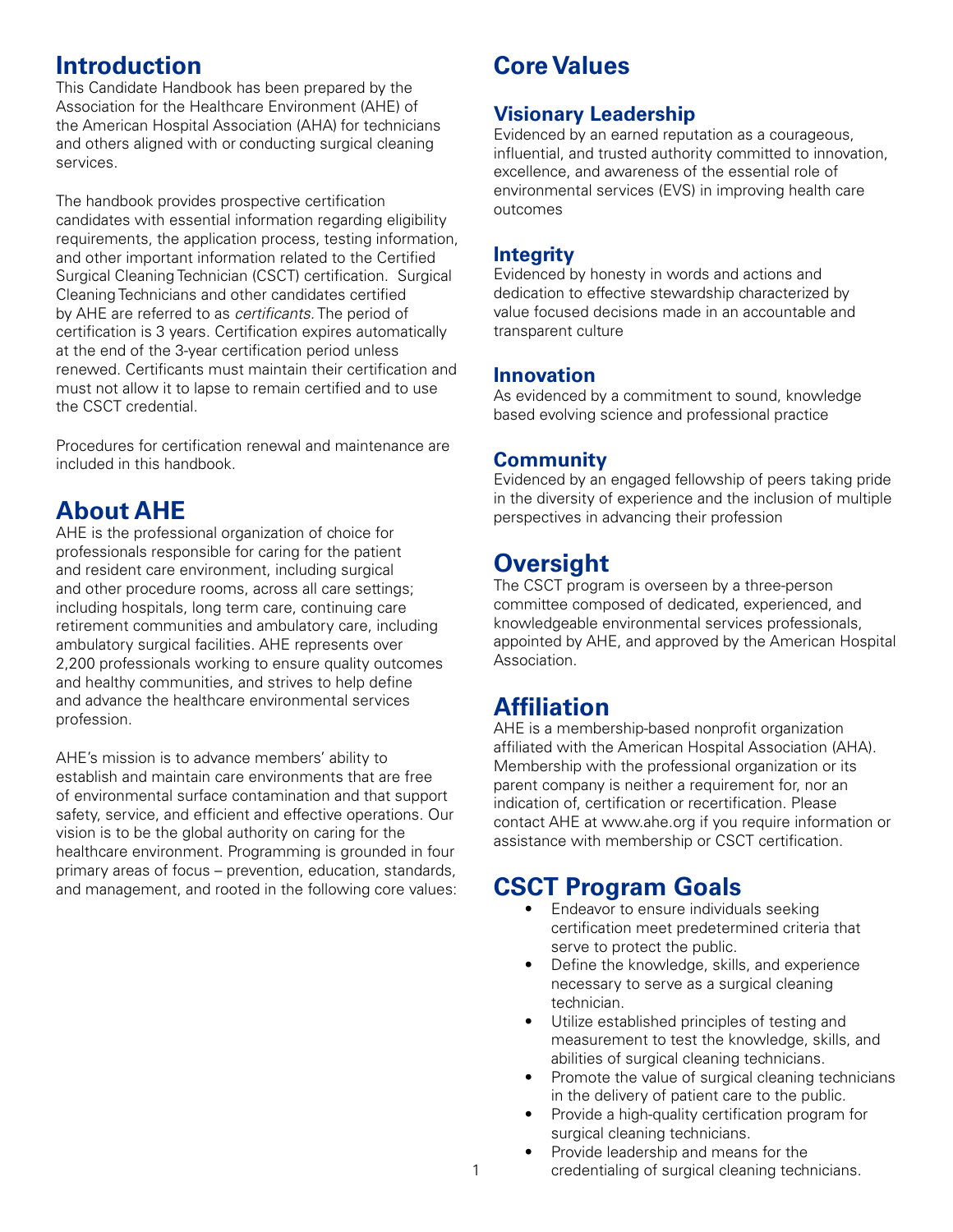# **Introduction**

This Candidate Handbook has been prepared by the Association for the Healthcare Environment (AHE) of the American Hospital Association (AHA) for technicians and others aligned with or conducting surgical cleaning services.

The handbook provides prospective certification candidates with essential information regarding eligibility requirements, the application process, testing information, and other important information related to the Certified Surgical Cleaning Technician (CSCT) certification. Surgical Cleaning Technicians and other candidates certified by AHE are referred to as *certificants.* The period of certification is 3 years. Certification expires automatically at the end of the 3-year certification period unless renewed. Certificants must maintain their certification and must not allow it to lapse to remain certified and to use the CSCT credential.

Procedures for certification renewal and maintenance are included in this handbook.

## **About AHE**

AHE is the professional organization of choice for professionals responsible for caring for the patient and resident care environment, including surgical and other procedure rooms, across all care settings; including hospitals, long term care, continuing care retirement communities and ambulatory care, including ambulatory surgical facilities. AHE represents over 2,200 professionals working to ensure quality outcomes and healthy communities, and strives to help define and advance the healthcare environmental services profession.

AHE's mission is to advance members' ability to establish and maintain care environments that are free of environmental surface contamination and that support safety, service, and efficient and effective operations. Our vision is to be the global authority on caring for the healthcare environment. Programming is grounded in four primary areas of focus – prevention, education, standards, and management, and rooted in the following core values:

# **Core Values**

### **Visionary Leadership**

Evidenced by an earned reputation as a courageous, influential, and trusted authority committed to innovation, excellence, and awareness of the essential role of environmental services (EVS) in improving health care outcomes

### **Integrity**

Evidenced by honesty in words and actions and dedication to effective stewardship characterized by value focused decisions made in an accountable and transparent culture

### **Innovation**

As evidenced by a commitment to sound, knowledge based evolving science and professional practice

### **Community**

Evidenced by an engaged fellowship of peers taking pride in the diversity of experience and the inclusion of multiple perspectives in advancing their profession

# **Oversight**

The CSCT program is overseen by a three-person committee composed of dedicated, experienced, and knowledgeable environmental services professionals, appointed by AHE, and approved by the American Hospital Association.

# **Affiliation**

AHE is a membership-based nonprofit organization affiliated with the American Hospital Association (AHA). Membership with the professional organization or its parent company is neither a requirement for, nor an indication of, certification or recertification. Please contact AHE at www.ahe.org if you require information or assistance with membership or CSCT certification.

# **CSCT Program Goals**

- Endeavor to ensure individuals seeking certification meet predetermined criteria that serve to protect the public.
- Define the knowledge, skills, and experience necessary to serve as a surgical cleaning technician.
- Utilize established principles of testing and measurement to test the knowledge, skills, and abilities of surgical cleaning technicians.
- Promote the value of surgical cleaning technicians in the delivery of patient care to the public.
- Provide a high-quality certification program for surgical cleaning technicians.
- Provide leadership and means for the credentialing of surgical cleaning technicians.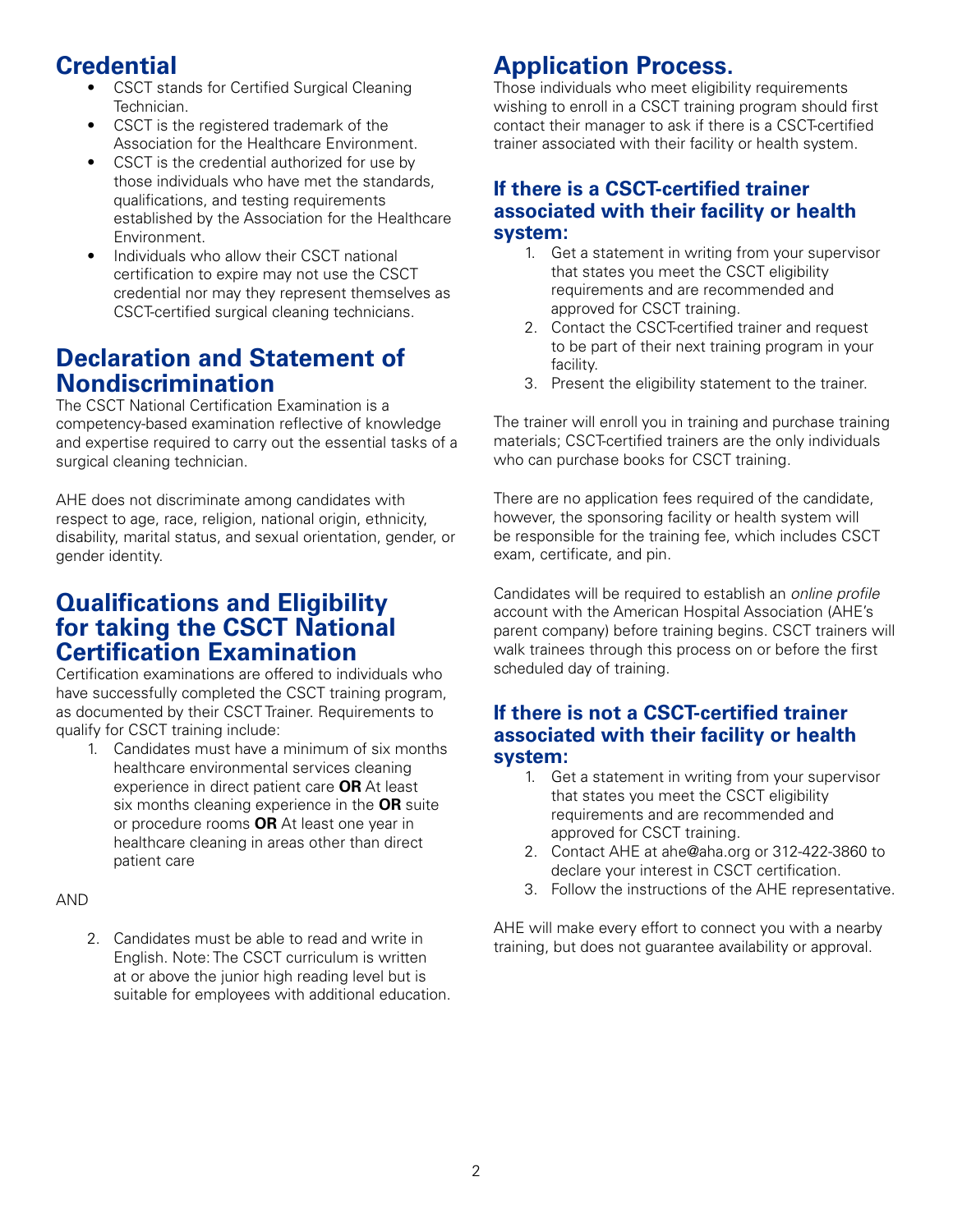# **Credential**

- CSCT stands for Certified Surgical Cleaning Technician.
- CSCT is the registered trademark of the Association for the Healthcare Environment.
- CSCT is the credential authorized for use by those individuals who have met the standards, qualifications, and testing requirements established by the Association for the Healthcare Environment.
- Individuals who allow their CSCT national certification to expire may not use the CSCT credential nor may they represent themselves as CSCT-certified surgical cleaning technicians.

### **Declaration and Statement of Nondiscrimination**

The CSCT National Certification Examination is a competency-based examination reflective of knowledge and expertise required to carry out the essential tasks of a surgical cleaning technician.

AHE does not discriminate among candidates with respect to age, race, religion, national origin, ethnicity, disability, marital status, and sexual orientation, gender, or gender identity.

### **Qualifications and Eligibility for taking the CSCT National Certification Examination**

Certification examinations are offered to individuals who have successfully completed the CSCT training program, as documented by their CSCT Trainer. Requirements to qualify for CSCT training include:

1. Candidates must have a minimum of six months healthcare environmental services cleaning experience in direct patient care **OR** At least six months cleaning experience in the **OR** suite or procedure rooms **OR** At least one year in healthcare cleaning in areas other than direct patient care

#### AND

2. Candidates must be able to read and write in English. Note: The CSCT curriculum is written at or above the junior high reading level but is suitable for employees with additional education.

# **Application Process.**

Those individuals who meet eligibility requirements wishing to enroll in a CSCT training program should first contact their manager to ask if there is a CSCT-certified trainer associated with their facility or health system.

#### **If there is a CSCT-certified trainer associated with their facility or health system:**

- 1. Get a statement in writing from your supervisor that states you meet the CSCT eligibility requirements and are recommended and approved for CSCT training.
- 2. Contact the CSCT-certified trainer and request to be part of their next training program in your facility.
- 3. Present the eligibility statement to the trainer.

The trainer will enroll you in training and purchase training materials; CSCT-certified trainers are the only individuals who can purchase books for CSCT training.

There are no application fees required of the candidate, however, the sponsoring facility or health system will be responsible for the training fee, which includes CSCT exam, certificate, and pin.

Candidates will be required to establish an *online profile* account with the American Hospital Association (AHE's parent company) before training begins. CSCT trainers will walk trainees through this process on or before the first scheduled day of training.

### **If there is not a CSCT-certified trainer associated with their facility or health system:**

- 1. Get a statement in writing from your supervisor that states you meet the CSCT eligibility requirements and are recommended and approved for CSCT training.
- 2. Contact AHE at ahe@aha.org or 312-422-3860 to declare your interest in CSCT certification.
- 3. Follow the instructions of the AHE representative.

AHE will make every effort to connect you with a nearby training, but does not guarantee availability or approval.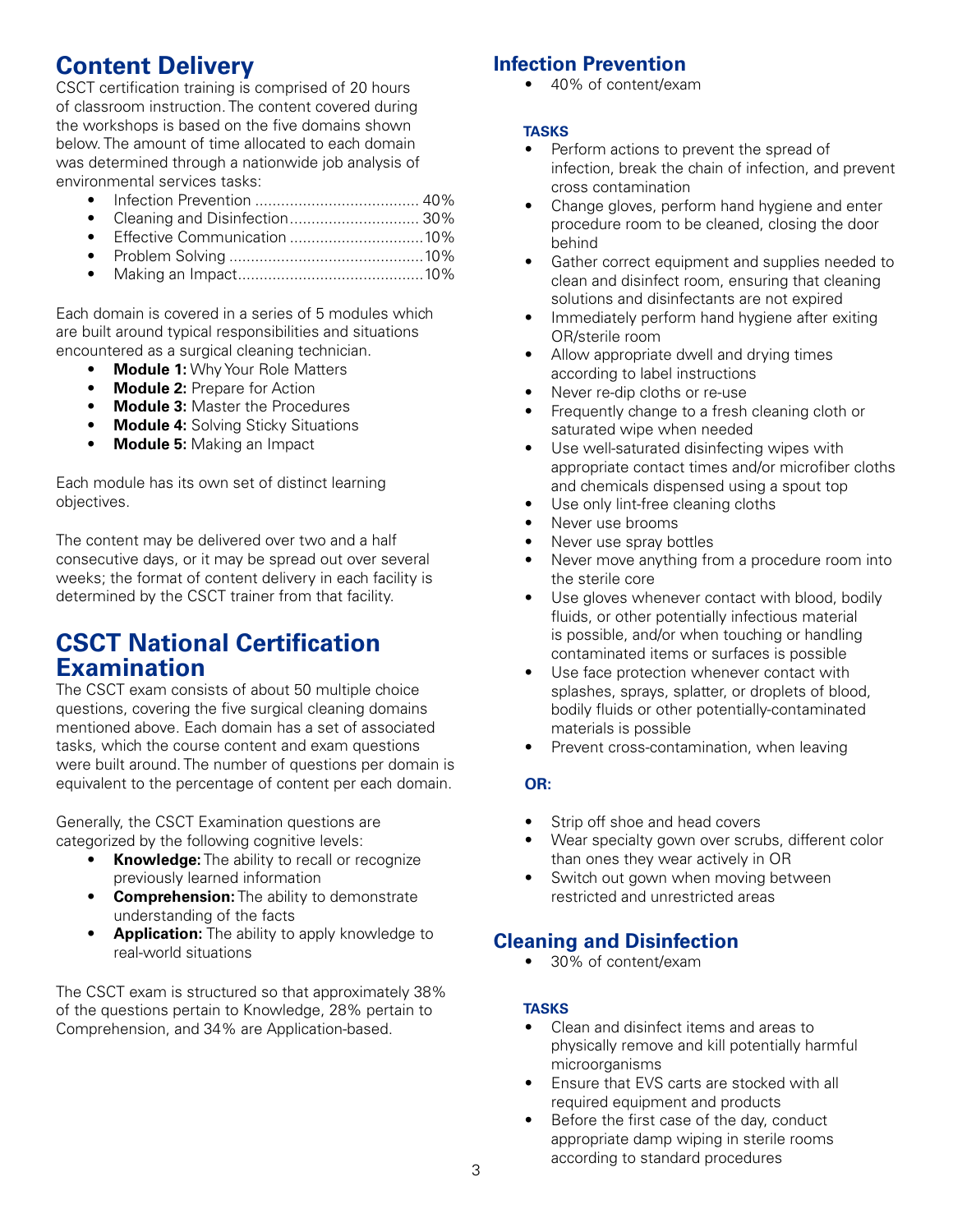# **Content Delivery**

CSCT certification training is comprised of 20 hours of classroom instruction. The content covered during the workshops is based on the five domains shown below. The amount of time allocated to each domain was determined through a nationwide job analysis of environmental services tasks:

- Infection Prevention ...................................... 40%
- Cleaning and Disinfection.............................. 30%
- Effective Communication ...............................10%
- Problem Solving .............................................10%
- Making an Impact...........................................10%

Each domain is covered in a series of 5 modules which are built around typical responsibilities and situations encountered as a surgical cleaning technician.

- **Module 1: Why Your Role Matters**
- **Module 2: Prepare for Action**
- **Module 3:** Master the Procedures
- **Module 4:** Solving Sticky Situations
- **Module 5:** Making an Impact

Each module has its own set of distinct learning objectives.

The content may be delivered over two and a half consecutive days, or it may be spread out over several weeks; the format of content delivery in each facility is determined by the CSCT trainer from that facility.

### **CSCT National Certification Examination**

The CSCT exam consists of about 50 multiple choice questions, covering the five surgical cleaning domains mentioned above. Each domain has a set of associated tasks, which the course content and exam questions were built around. The number of questions per domain is equivalent to the percentage of content per each domain.

Generally, the CSCT Examination questions are categorized by the following cognitive levels:

- **Knowledge:** The ability to recall or recognize previously learned information
- **Comprehension:** The ability to demonstrate understanding of the facts
- **Application:** The ability to apply knowledge to real-world situations

The CSCT exam is structured so that approximately 38% of the questions pertain to Knowledge, 28% pertain to Comprehension, and 34% are Application-based.

### **Infection Prevention**

• 40% of content/exam

#### **tasks**

- Perform actions to prevent the spread of infection, break the chain of infection, and prevent cross contamination
- Change gloves, perform hand hygiene and enter procedure room to be cleaned, closing the door behind
- Gather correct equipment and supplies needed to clean and disinfect room, ensuring that cleaning solutions and disinfectants are not expired
- Immediately perform hand hygiene after exiting OR/sterile room
- Allow appropriate dwell and drying times according to label instructions
- Never re-dip cloths or re-use
- Frequently change to a fresh cleaning cloth or saturated wipe when needed
- Use well-saturated disinfecting wipes with appropriate contact times and/or microfiber cloths and chemicals dispensed using a spout top
- Use only lint-free cleaning cloths
- Never use brooms
- Never use spray bottles
- Never move anything from a procedure room into the sterile core
- Use gloves whenever contact with blood, bodily fluids, or other potentially infectious material is possible, and/or when touching or handling contaminated items or surfaces is possible
- Use face protection whenever contact with splashes, sprays, splatter, or droplets of blood, bodily fluids or other potentially-contaminated materials is possible
- Prevent cross-contamination, when leaving

#### **OR:**

- Strip off shoe and head covers
- Wear specialty gown over scrubs, different color than ones they wear actively in OR
- Switch out gown when moving between restricted and unrestricted areas

### **Cleaning and Disinfection**

• 30% of content/exam

#### **tasks**

- Clean and disinfect items and areas to physically remove and kill potentially harmful microorganisms
- Ensure that EVS carts are stocked with all required equipment and products
- Before the first case of the day, conduct appropriate damp wiping in sterile rooms according to standard procedures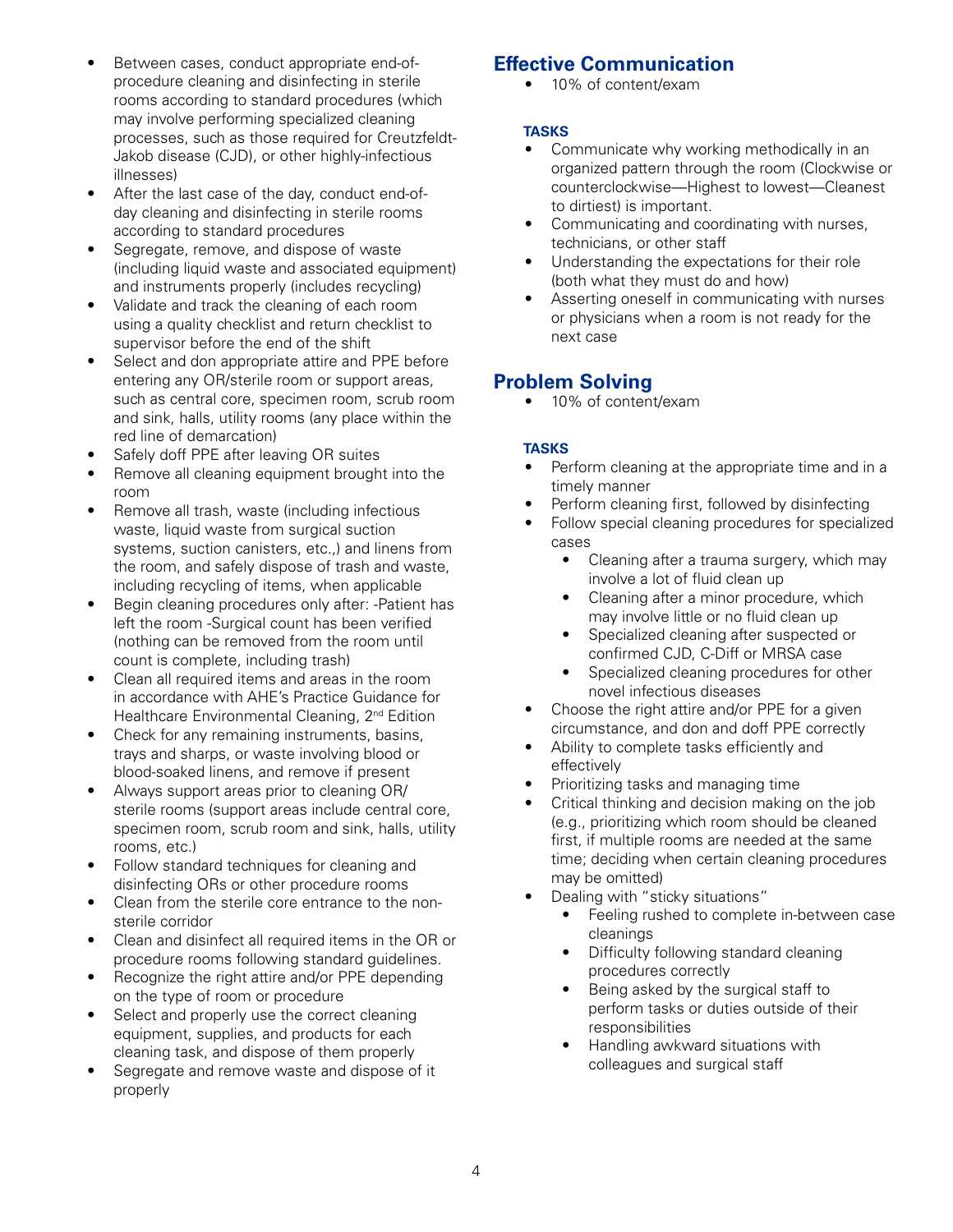- Between cases, conduct appropriate end-ofprocedure cleaning and disinfecting in sterile rooms according to standard procedures (which may involve performing specialized cleaning processes, such as those required for Creutzfeldt-Jakob disease (CJD), or other highly-infectious illnesses)
- After the last case of the day, conduct end-ofday cleaning and disinfecting in sterile rooms according to standard procedures
- Segregate, remove, and dispose of waste (including liquid waste and associated equipment) and instruments properly (includes recycling)
- Validate and track the cleaning of each room using a quality checklist and return checklist to supervisor before the end of the shift
- Select and don appropriate attire and PPE before entering any OR/sterile room or support areas, such as central core, specimen room, scrub room and sink, halls, utility rooms (any place within the red line of demarcation)
- Safely doff PPE after leaving OR suites
- Remove all cleaning equipment brought into the room
- Remove all trash, waste (including infectious waste, liquid waste from surgical suction systems, suction canisters, etc.,) and linens from the room, and safely dispose of trash and waste, including recycling of items, when applicable
- Begin cleaning procedures only after: -Patient has left the room -Surgical count has been verified (nothing can be removed from the room until count is complete, including trash)
- Clean all required items and areas in the room in accordance with AHE's Practice Guidance for Healthcare Environmental Cleaning, 2<sup>nd</sup> Edition
- Check for any remaining instruments, basins, trays and sharps, or waste involving blood or blood-soaked linens, and remove if present
- Always support areas prior to cleaning OR/ sterile rooms (support areas include central core, specimen room, scrub room and sink, halls, utility rooms, etc.)
- Follow standard techniques for cleaning and disinfecting ORs or other procedure rooms
- Clean from the sterile core entrance to the nonsterile corridor
- Clean and disinfect all required items in the OR or procedure rooms following standard guidelines.
- Recognize the right attire and/or PPE depending on the type of room or procedure
- Select and properly use the correct cleaning equipment, supplies, and products for each cleaning task, and dispose of them properly
- Segregate and remove waste and dispose of it properly

### **Effective Communication**

• 10% of content/exam

#### **tasks**

- Communicate why working methodically in an organized pattern through the room (Clockwise or counterclockwise—Highest to lowest—Cleanest to dirtiest) is important.
- Communicating and coordinating with nurses, technicians, or other staff
- Understanding the expectations for their role (both what they must do and how)
- Asserting oneself in communicating with nurses or physicians when a room is not ready for the next case

### **Problem Solving**

• 10% of content/exam

#### **tasks**

- Perform cleaning at the appropriate time and in a timely manner
- Perform cleaning first, followed by disinfecting
- Follow special cleaning procedures for specialized cases
	- Cleaning after a trauma surgery, which may involve a lot of fluid clean up
	- Cleaning after a minor procedure, which may involve little or no fluid clean up
	- Specialized cleaning after suspected or confirmed CJD, C-Diff or MRSA case
	- Specialized cleaning procedures for other novel infectious diseases
- Choose the right attire and/or PPE for a given circumstance, and don and doff PPE correctly
- Ability to complete tasks efficiently and effectively
- Prioritizing tasks and managing time
- Critical thinking and decision making on the job (e.g., prioritizing which room should be cleaned first, if multiple rooms are needed at the same time; deciding when certain cleaning procedures may be omitted)
- Dealing with "sticky situations"
	- Feeling rushed to complete in-between case cleanings
	- Difficulty following standard cleaning procedures correctly
	- Being asked by the surgical staff to perform tasks or duties outside of their responsibilities
	- Handling awkward situations with colleagues and surgical staff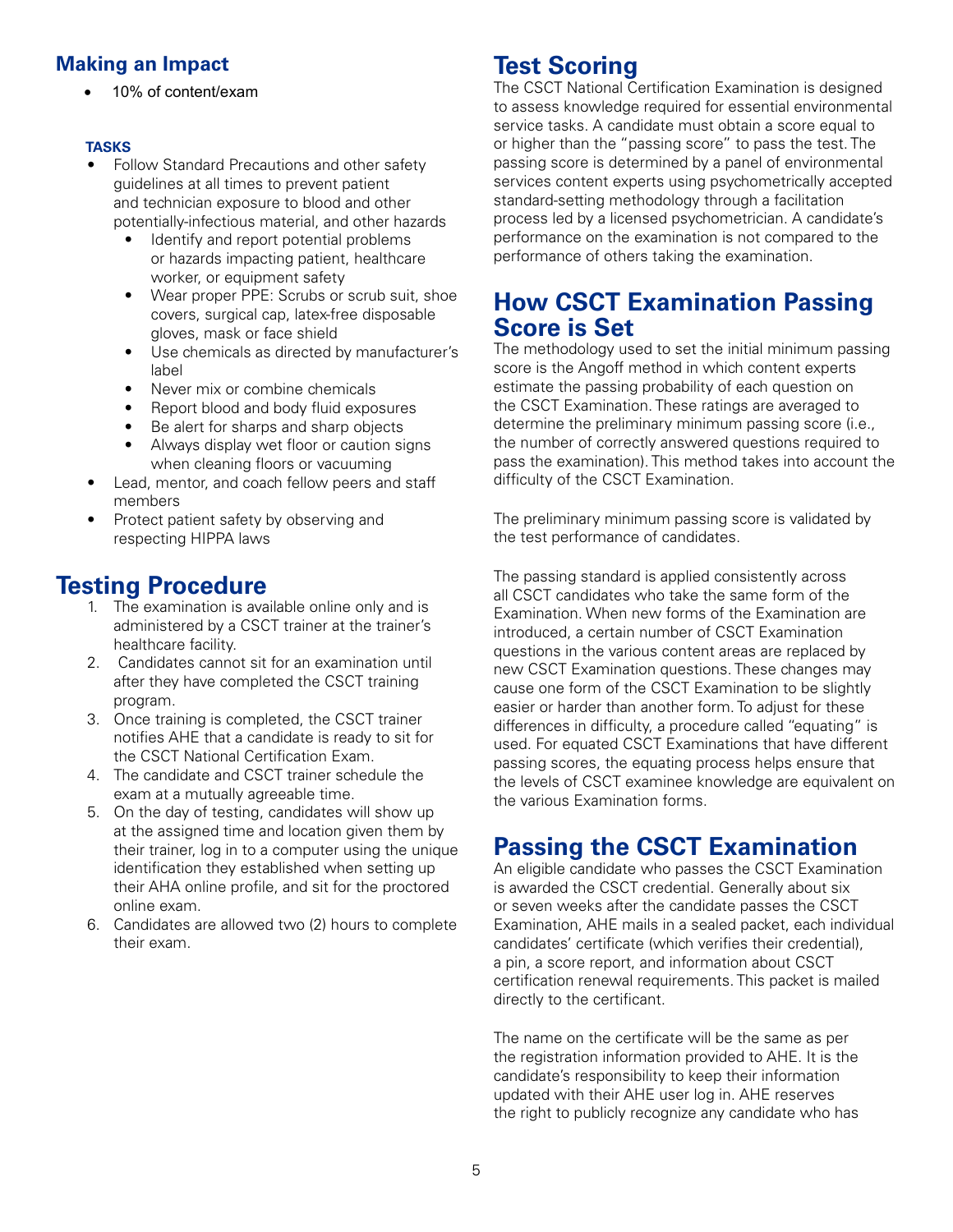### **Making an Impact**

10% of content/exam

#### **tasks**

- Follow Standard Precautions and other safety guidelines at all times to prevent patient and technician exposure to blood and other potentially-infectious material, and other hazards
	- Identify and report potential problems or hazards impacting patient, healthcare worker, or equipment safety
	- Wear proper PPE: Scrubs or scrub suit, shoe covers, surgical cap, latex-free disposable gloves, mask or face shield
	- Use chemicals as directed by manufacturer's label
	- Never mix or combine chemicals
	- Report blood and body fluid exposures
	- Be alert for sharps and sharp objects
	- Always display wet floor or caution signs when cleaning floors or vacuuming
- Lead, mentor, and coach fellow peers and staff members
- Protect patient safety by observing and respecting HIPPA laws

### **Testing Procedure**

- 1. The examination is available online only and is administered by a CSCT trainer at the trainer's healthcare facility.
- 2. Candidates cannot sit for an examination until after they have completed the CSCT training program.
- 3. Once training is completed, the CSCT trainer notifies AHE that a candidate is ready to sit for the CSCT National Certification Exam.
- 4. The candidate and CSCT trainer schedule the exam at a mutually agreeable time.
- 5. On the day of testing, candidates will show up at the assigned time and location given them by their trainer, log in to a computer using the unique identification they established when setting up their AHA online profile, and sit for the proctored online exam.
- 6. Candidates are allowed two (2) hours to complete their exam.

# **Test Scoring**

The CSCT National Certification Examination is designed to assess knowledge required for essential environmental service tasks. A candidate must obtain a score equal to or higher than the "passing score" to pass the test. The passing score is determined by a panel of environmental services content experts using psychometrically accepted standard-setting methodology through a facilitation process led by a licensed psychometrician. A candidate's performance on the examination is not compared to the performance of others taking the examination.

### **How CSCT Examination Passing Score is Set**

The methodology used to set the initial minimum passing score is the Angoff method in which content experts estimate the passing probability of each question on the CSCT Examination. These ratings are averaged to determine the preliminary minimum passing score (i.e., the number of correctly answered questions required to pass the examination). This method takes into account the difficulty of the CSCT Examination.

The preliminary minimum passing score is validated by the test performance of candidates.

The passing standard is applied consistently across all CSCT candidates who take the same form of the Examination. When new forms of the Examination are introduced, a certain number of CSCT Examination questions in the various content areas are replaced by new CSCT Examination questions. These changes may cause one form of the CSCT Examination to be slightly easier or harder than another form. To adjust for these differences in difficulty, a procedure called "equating" is used. For equated CSCT Examinations that have different passing scores, the equating process helps ensure that the levels of CSCT examinee knowledge are equivalent on the various Examination forms.

# **Passing the CSCT Examination**

An eligible candidate who passes the CSCT Examination is awarded the CSCT credential. Generally about six or seven weeks after the candidate passes the CSCT Examination, AHE mails in a sealed packet, each individual candidates' certificate (which verifies their credential), a pin, a score report, and information about CSCT certification renewal requirements. This packet is mailed directly to the certificant.

The name on the certificate will be the same as per the registration information provided to AHE. It is the candidate's responsibility to keep their information updated with their AHE user log in. AHE reserves the right to publicly recognize any candidate who has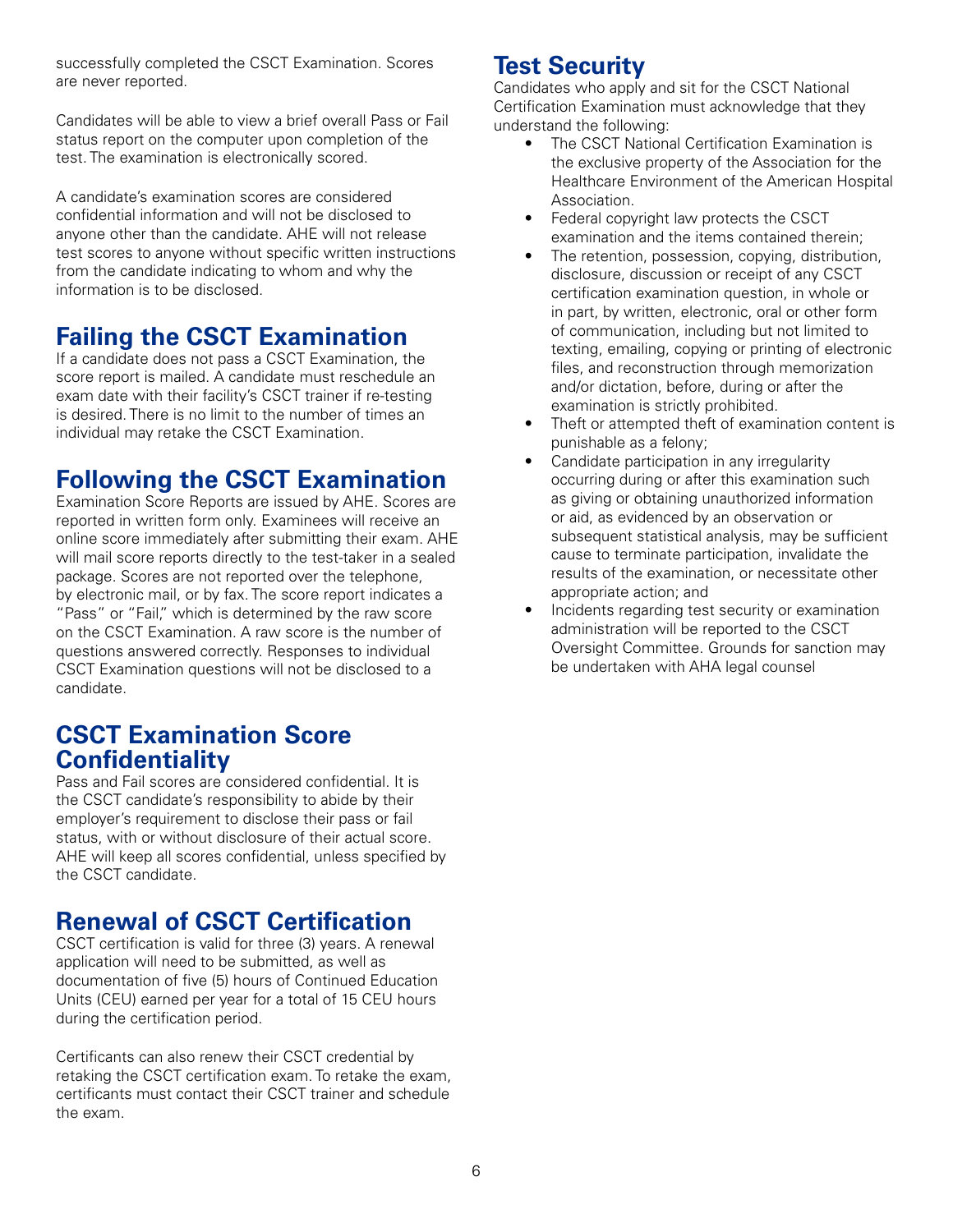successfully completed the CSCT Examination. Scores are never reported.

Candidates will be able to view a brief overall Pass or Fail status report on the computer upon completion of the test. The examination is electronically scored.

A candidate's examination scores are considered confidential information and will not be disclosed to anyone other than the candidate. AHE will not release test scores to anyone without specific written instructions from the candidate indicating to whom and why the information is to be disclosed.

# **Failing the CSCT Examination**

If a candidate does not pass a CSCT Examination, the score report is mailed. A candidate must reschedule an exam date with their facility's CSCT trainer if re-testing is desired. There is no limit to the number of times an individual may retake the CSCT Examination.

# **Following the CSCT Examination**

Examination Score Reports are issued by AHE. Scores are reported in written form only. Examinees will receive an online score immediately after submitting their exam. AHE will mail score reports directly to the test-taker in a sealed package. Scores are not reported over the telephone, by electronic mail, or by fax. The score report indicates a "Pass" or "Fail," which is determined by the raw score on the CSCT Examination. A raw score is the number of questions answered correctly. Responses to individual CSCT Examination questions will not be disclosed to a candidate.

### **CSCT Examination Score Confidentiality**

Pass and Fail scores are considered confidential. It is the CSCT candidate's responsibility to abide by their employer's requirement to disclose their pass or fail status, with or without disclosure of their actual score. AHE will keep all scores confidential, unless specified by the CSCT candidate.

# **Renewal of CSCT Certification**

CSCT certification is valid for three (3) years. A renewal application will need to be submitted, as well as documentation of five (5) hours of Continued Education Units (CEU) earned per year for a total of 15 CEU hours during the certification period.

Certificants can also renew their CSCT credential by retaking the CSCT certification exam. To retake the exam, certificants must contact their CSCT trainer and schedule the exam.

# **Test Security**

Candidates who apply and sit for the CSCT National Certification Examination must acknowledge that they understand the following:

- The CSCT National Certification Examination is the exclusive property of the Association for the Healthcare Environment of the American Hospital Association.
- Federal copyright law protects the CSCT examination and the items contained therein;
- The retention, possession, copying, distribution, disclosure, discussion or receipt of any CSCT certification examination question, in whole or in part, by written, electronic, oral or other form of communication, including but not limited to texting, emailing, copying or printing of electronic files, and reconstruction through memorization and/or dictation, before, during or after the examination is strictly prohibited.
- Theft or attempted theft of examination content is punishable as a felony;
- Candidate participation in any irregularity occurring during or after this examination such as giving or obtaining unauthorized information or aid, as evidenced by an observation or subsequent statistical analysis, may be sufficient cause to terminate participation, invalidate the results of the examination, or necessitate other appropriate action; and
- Incidents regarding test security or examination administration will be reported to the CSCT Oversight Committee. Grounds for sanction may be undertaken with AHA legal counsel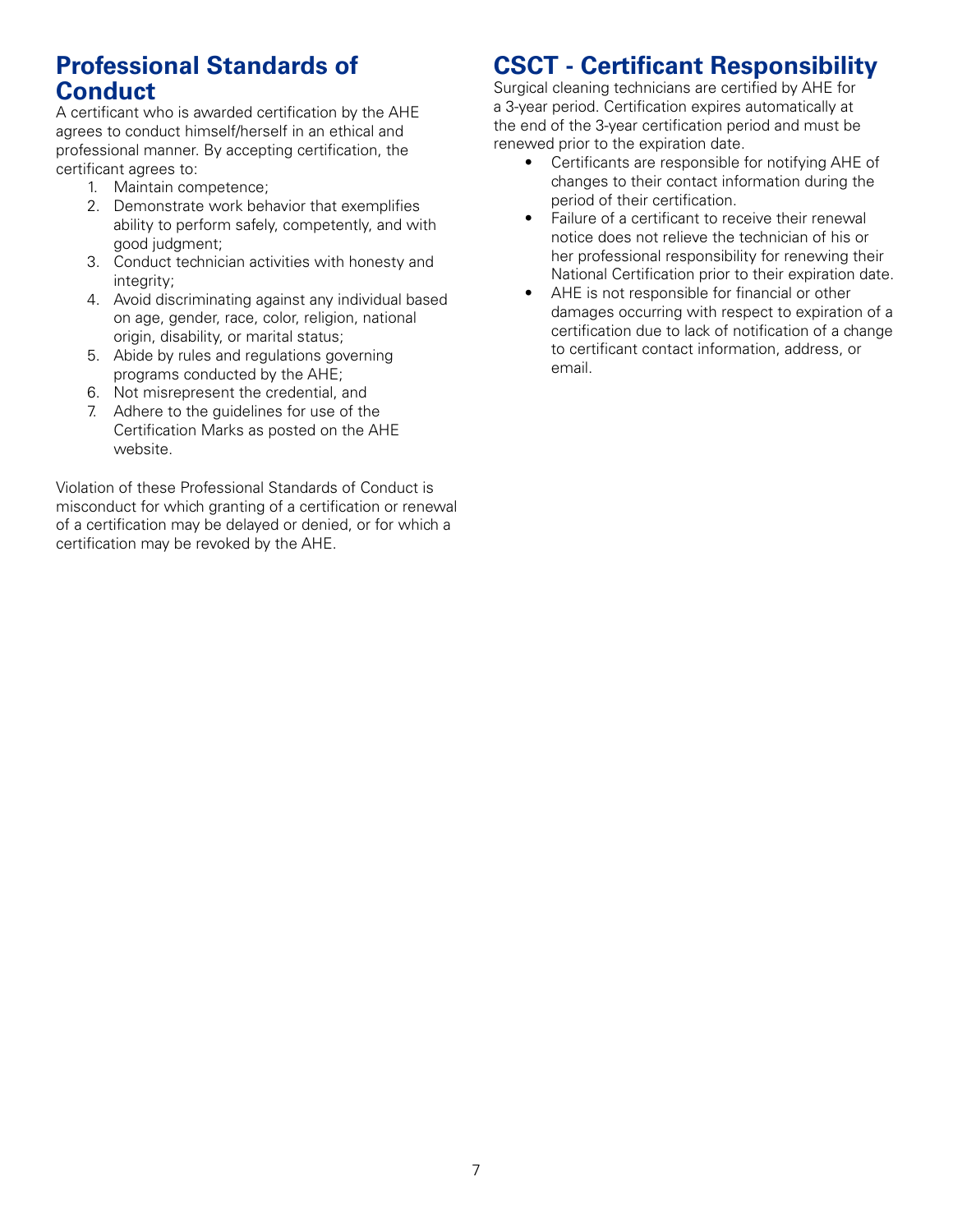## **Professional Standards of Conduct**

A certificant who is awarded certification by the AHE agrees to conduct himself/herself in an ethical and professional manner. By accepting certification, the certificant agrees to:

- 1. Maintain competence;
- 2. Demonstrate work behavior that exemplifies ability to perform safely, competently, and with good judgment;
- 3. Conduct technician activities with honesty and integrity:
- 4. Avoid discriminating against any individual based on age, gender, race, color, religion, national origin, disability, or marital status;
- 5. Abide by rules and regulations governing programs conducted by the AHE;
- 6. Not misrepresent the credential, and
- 7. Adhere to the guidelines for use of the Certification Marks as posted on the AHE website.

Violation of these Professional Standards of Conduct is misconduct for which granting of a certification or renewal of a certification may be delayed or denied, or for which a certification may be revoked by the AHE.

# **CSCT - Certificant Responsibility**

Surgical cleaning technicians are certified by AHE for a 3-year period. Certification expires automatically at the end of the 3-year certification period and must be renewed prior to the expiration date.

- Certificants are responsible for notifying AHE of changes to their contact information during the period of their certification.
- Failure of a certificant to receive their renewal notice does not relieve the technician of his or her professional responsibility for renewing their National Certification prior to their expiration date.
- AHE is not responsible for financial or other damages occurring with respect to expiration of a certification due to lack of notification of a change to certificant contact information, address, or email.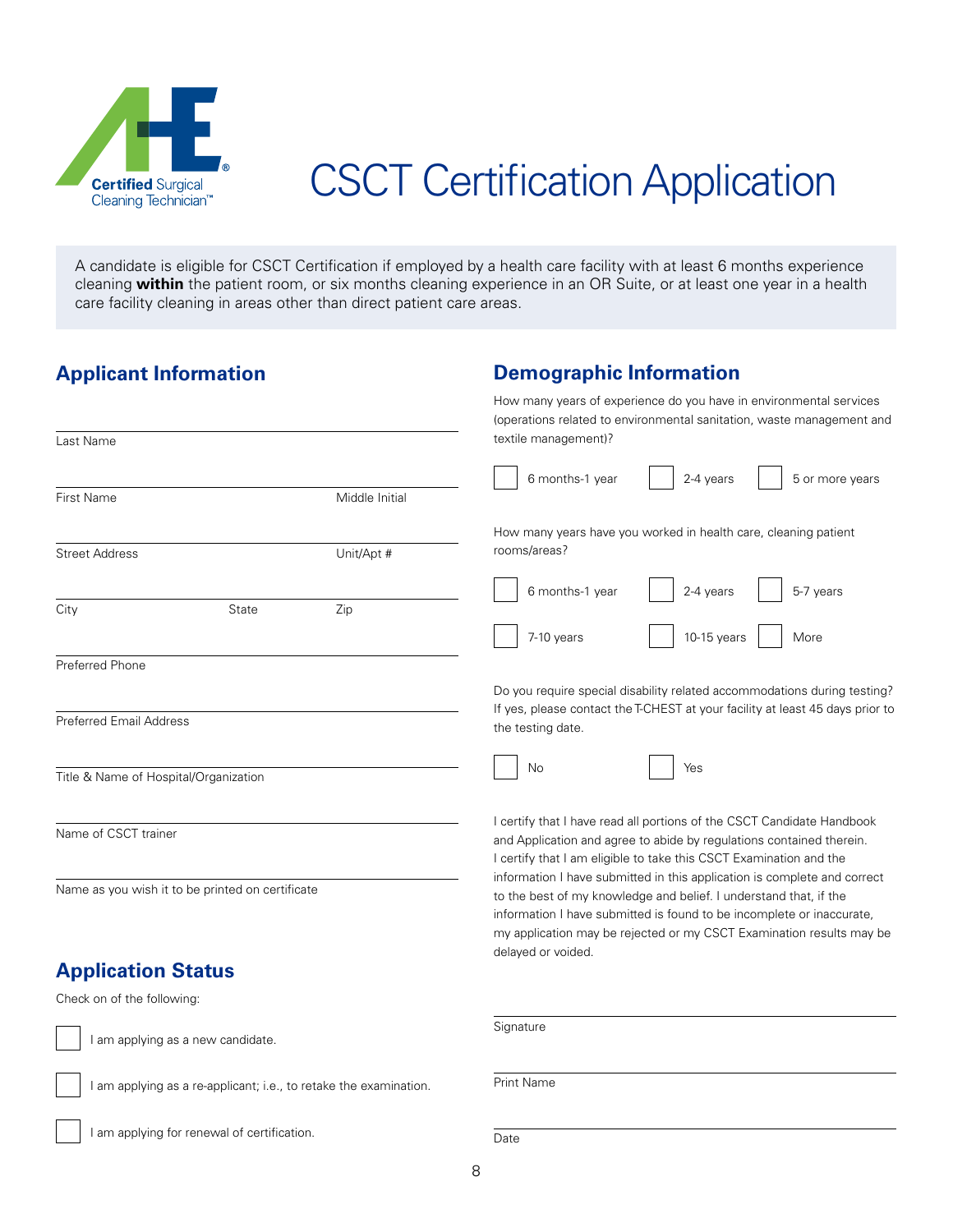

# CSCT Certification Application

A candidate is eligible for CSCT Certification if employed by a health care facility with at least 6 months experience cleaning **within** the patient room, or six months cleaning experience in an OR Suite, or at least one year in a health care facility cleaning in areas other than direct patient care areas.

### **Applicant Information**

### **Demographic Information**

|                                                                   |                                   |                | How many years of experience do you have in environmental services<br>(operations related to environmental sanitation, waste management and   |  |
|-------------------------------------------------------------------|-----------------------------------|----------------|-----------------------------------------------------------------------------------------------------------------------------------------------|--|
| Last Name                                                         |                                   |                | textile management)?                                                                                                                          |  |
| First Name                                                        |                                   | Middle Initial | 6 months-1 year<br>2-4 years<br>5 or more years                                                                                               |  |
|                                                                   |                                   |                |                                                                                                                                               |  |
| <b>Street Address</b>                                             |                                   | Unit/Apt #     | How many years have you worked in health care, cleaning patient<br>rooms/areas?                                                               |  |
|                                                                   |                                   |                |                                                                                                                                               |  |
| City                                                              | State                             | Zip            | 6 months-1 year<br>2-4 years<br>5-7 years                                                                                                     |  |
|                                                                   |                                   |                | More<br>7-10 years<br>10-15 years                                                                                                             |  |
| Preferred Phone                                                   |                                   |                |                                                                                                                                               |  |
|                                                                   |                                   |                | Do you require special disability related accommodations during testing?                                                                      |  |
| Preferred Email Address                                           |                                   |                | If yes, please contact the T-CHEST at your facility at least 45 days prior to<br>the testing date.                                            |  |
| Title & Name of Hospital/Organization                             |                                   |                | No<br>Yes                                                                                                                                     |  |
|                                                                   |                                   |                |                                                                                                                                               |  |
| Name of CSCT trainer                                              |                                   |                | I certify that I have read all portions of the CSCT Candidate Handbook                                                                        |  |
|                                                                   |                                   |                | and Application and agree to abide by regulations contained therein.<br>I certify that I am eligible to take this CSCT Examination and the    |  |
| Name as you wish it to be printed on certificate                  |                                   |                | information I have submitted in this application is complete and correct<br>to the best of my knowledge and belief. I understand that, if the |  |
|                                                                   |                                   |                | information I have submitted is found to be incomplete or inaccurate,                                                                         |  |
|                                                                   |                                   |                | my application may be rejected or my CSCT Examination results may be<br>delayed or voided.                                                    |  |
| <b>Application Status</b>                                         |                                   |                |                                                                                                                                               |  |
| Check on of the following:                                        |                                   |                |                                                                                                                                               |  |
|                                                                   | I am applying as a new candidate. |                | Signature                                                                                                                                     |  |
| I am applying as a re-applicant; i.e., to retake the examination. |                                   |                | Print Name                                                                                                                                    |  |

I am applying for renewal of certification.

Date